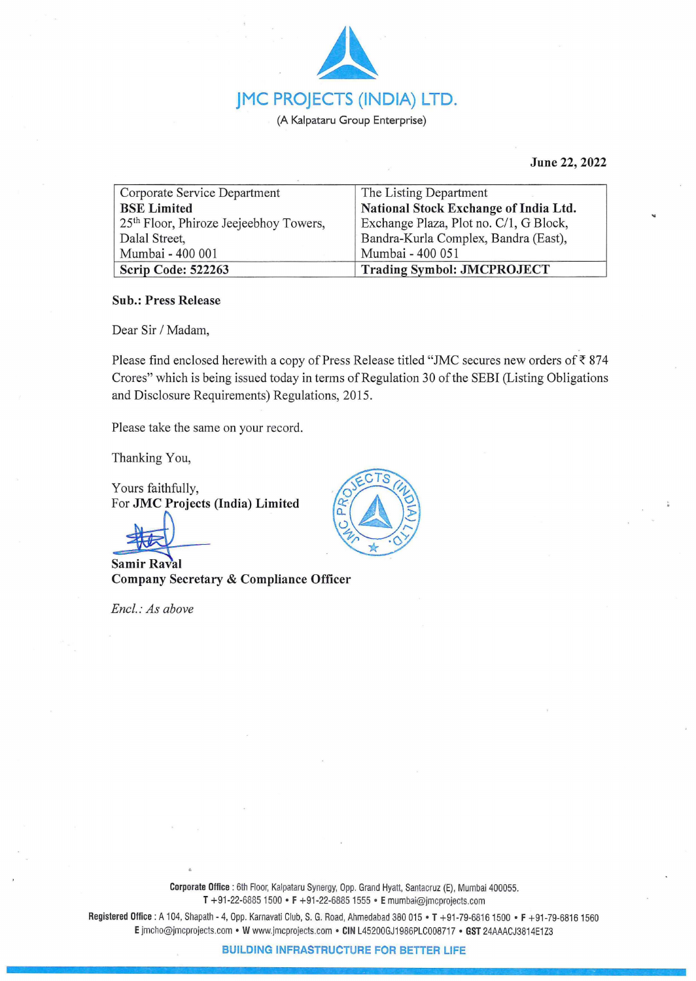

**June 22, 2022** 

| Corporate Service Department           | The Listing Department                 |
|----------------------------------------|----------------------------------------|
| <b>BSE Limited</b>                     | National Stock Exchange of India Ltd.  |
| 25th Floor, Phiroze Jeejeebhoy Towers, | Exchange Plaza, Plot no. C/1, G Block, |
| Dalal Street,                          | Bandra-Kurla Complex, Bandra (East),   |
| Mumbai - 400 001                       | Mumbai - 400 051                       |
| Scrip Code: 522263                     | <b>Trading Symbol: JMCPROJECT</b>      |

## **Sub.: Press Release**

Dear Sir / Madam,

Please find enclosed herewith a copy of Press Release titled "JMC secures new orders of  $\bar{\tau}$  874 Crores" which is being issued today in terms of Regulation 30 of the SEBI (Listing Obligations and Disclosure Requirements) Regulations, 2015.

Please take the same on your record.

Thanking You,

Yours faithfully, For **JMC** Projects (India) Limited

 $\frac{1}{x}$  Samir Raval **Company Secretary** & **Compliance Officer** 

*Encl. : As above* 



**Corporate Office** : 6th Floor, Kalpataru Synergy, Opp. Grand Hyatt, Santacruz (E), Mumbai 400055. **T** +91-22-6885 1500 • **F** +91-22-68851555 • **E** mumbai@jmcprojects.com

**Registered Office :** A 104, Shapath- 4, Opp. Karnavati Club, S. G. Road, Ahmedabad 380 015 • **T** +91-79-68161500 • **F** +91-79-68161560 **E** jmcho@jmcprojects.com • **W** www.jmcprojects com • **CIN** L45200GJ1986PLC008717 • **GST** 24AAACJ3814E1 Z3